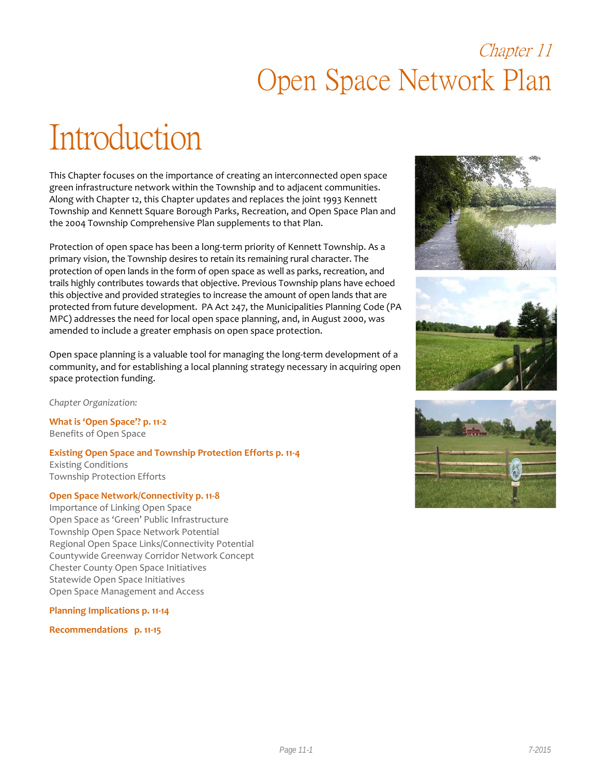## Chapter 11 Open Space Network Plan

# Introduction

This Chapter focuses on the importance of creating an interconnected open space green infrastructure network within the Township and to adjacent communities. Along with Chapter 12, this Chapter updates and replaces the joint 1993 Kennett Township and Kennett Square Borough Parks, Recreation, and Open Space Plan and the 2004 Township Comprehensive Plan supplements to that Plan.

Protection of open space has been a long-term priority of Kennett Township. As a primary vision, the Township desires to retain its remaining rural character. The protection of open lands in the form of open space as well as parks, recreation, and trails highly contributes towards that objective. Previous Township plans have echoed this objective and provided strategies to increase the amount of open lands that are protected from future development. PA Act 247, the Municipalities Planning Code (PA MPC) addresses the need for local open space planning, and, in August 2000, was amended to include a greater emphasis on open space protection.

Open space planning is a valuable tool for managing the long-term development of a community, and for establishing a local planning strategy necessary in acquiring open space protection funding.

*Chapter Organization:*

**What is 'Open Space'? p. 11-2** Benefits of Open Space

**Existing Open Space and Township Protection Efforts p. 11-4** Existing Conditions Township Protection Efforts

#### **Open Space Network/Connectivity p. 11-8**

Importance of Linking Open Space Open Space as 'Green' Public Infrastructure Township Open Space Network Potential Regional Open Space Links/Connectivity Potential Countywide Greenway Corridor Network Concept Chester County Open Space Initiatives Statewide Open Space Initiatives Open Space Management and Access

#### **Planning Implications p. 11-14**

**Recommendations p. 11-15**





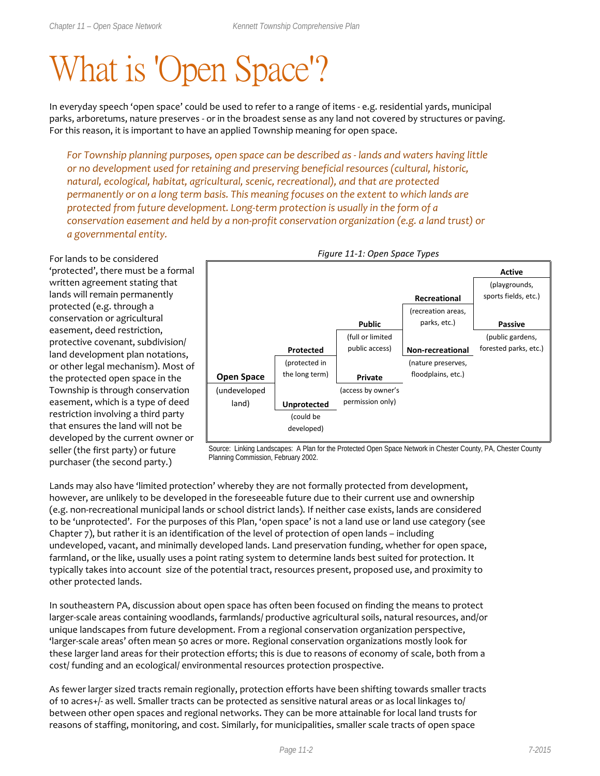# What is 'Open Space'?

In everyday speech 'open space' could be used to refer to a range of items - e.g. residential yards, municipal parks, arboretums, nature preserves - or in the broadest sense as any land not covered by structures or paving. For this reason, it is important to have an applied Township meaning for open space.

*For Township planning purposes, open space can be described as - lands and waters having little or no development used for retaining and preserving beneficial resources (cultural, historic, natural, ecological, habitat, agricultural, scenic, recreational), and that are protected permanently or on a long term basis. This meaning focuses on the extent to which lands are protected from future development. Long-term protection is usually in the form of a conservation easement and held by a non-profit conservation organization (e.g. a land trust) or a governmental entity.* 

For lands to be considered 'protected', there must be a formal written agreement stating that lands will remain permanently protected (e.g. through a conservation or agricultural easement, deed restriction, protective covenant, subdivision/ land development plan notations, or other legal mechanism). Most of the protected open space in the Township is through conservation easement, which is a type of deed restriction involving a third party that ensures the land will not be developed by the current owner or seller (the first party) or future purchaser (the second party.)



*Figure 11-1: Open Space Types*

Source: Linking Landscapes: A Plan for the Protected Open Space Network in Chester County, PA, Chester County Planning Commission, February 2002.

Lands may also have 'limited protection' whereby they are not formally protected from development, however, are unlikely to be developed in the foreseeable future due to their current use and ownership (e.g. non-recreational municipal lands or school district lands). If neither case exists, lands are considered to be 'unprotected'. For the purposes of this Plan, 'open space' is not a land use or land use category (see Chapter 7), but rather it is an identification of the level of protection of open lands – including undeveloped, vacant, and minimally developed lands. Land preservation funding, whether for open space, farmland, or the like, usually uses a point rating system to determine lands best suited for protection. It typically takes into account size of the potential tract, resources present, proposed use, and proximity to other protected lands.

In southeastern PA, discussion about open space has often been focused on finding the means to protect larger-scale areas containing woodlands, farmlands/ productive agricultural soils, natural resources, and/or unique landscapes from future development. From a regional conservation organization perspective, 'larger-scale areas' often mean 50 acres or more. Regional conservation organizations mostly look for these larger land areas for their protection efforts; this is due to reasons of economy of scale, both from a cost/ funding and an ecological/ environmental resources protection prospective.

As fewer larger sized tracts remain regionally, protection efforts have been shifting towards smaller tracts of 10 acres+/- as well. Smaller tracts can be protected as sensitive natural areas or as local linkages to/ between other open spaces and regional networks. They can be more attainable for local land trusts for reasons of staffing, monitoring, and cost. Similarly, for municipalities, smaller scale tracts of open space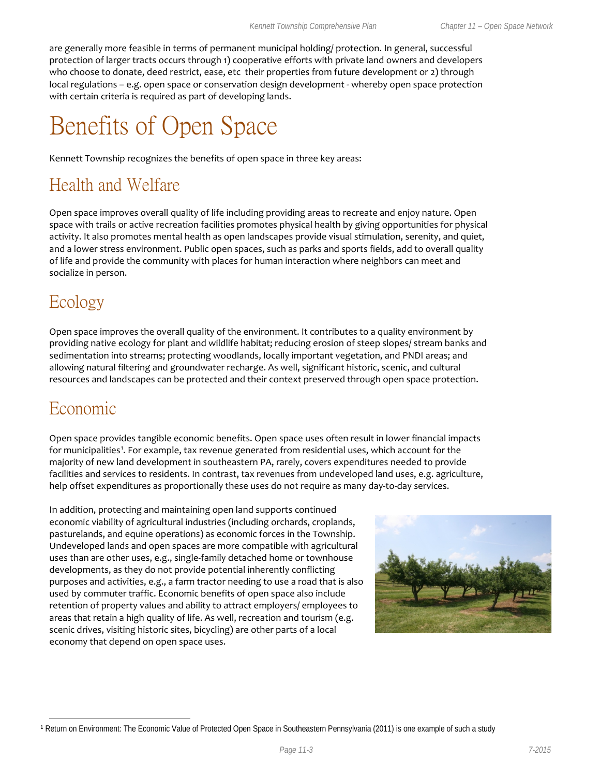are generally more feasible in terms of permanent municipal holding/ protection. In general, successful protection of larger tracts occurs through 1) cooperative efforts with private land owners and developers who choose to donate, deed restrict, ease, etc their properties from future development or 2) through local regulations – e.g. open space or conservation design development - whereby open space protection with certain criteria is required as part of developing lands.

## Benefits of Open Space

Kennett Township recognizes the benefits of open space in three key areas:

## Health and Welfare

Open space improves overall quality of life including providing areas to recreate and enjoy nature. Open space with trails or active recreation facilities promotes physical health by giving opportunities for physical activity. It also promotes mental health as open landscapes provide visual stimulation, serenity, and quiet, and a lower stress environment. Public open spaces, such as parks and sports fields, add to overall quality of life and provide the community with places for human interaction where neighbors can meet and socialize in person.

## Ecology

Open space improves the overall quality of the environment. It contributes to a quality environment by providing native ecology for plant and wildlife habitat; reducing erosion of steep slopes/ stream banks and sedimentation into streams; protecting woodlands, locally important vegetation, and PNDI areas; and allowing natural filtering and groundwater recharge. As well, significant historic, scenic, and cultural resources and landscapes can be protected and their context preserved through open space protection.

### Economic

 $\overline{a}$ 

Open space provides tangible economic benefits. Open space uses often result in lower financial impacts for municipalities<sup>[1](#page-2-0)</sup>. For example, tax revenue generated from residential uses, which account for the majority of new land development in southeastern PA, rarely, covers expenditures needed to provide facilities and services to residents. In contrast, tax revenues from undeveloped land uses, e.g. agriculture, help offset expenditures as proportionally these uses do not require as many day-to-day services.

In addition, protecting and maintaining open land supports continued economic viability of agricultural industries (including orchards, croplands, pasturelands, and equine operations) as economic forces in the Township. Undeveloped lands and open spaces are more compatible with agricultural uses than are other uses, e.g., single-family detached home or townhouse developments, as they do not provide potential inherently conflicting purposes and activities, e.g., a farm tractor needing to use a road that is also used by commuter traffic. Economic benefits of open space also include retention of property values and ability to attract employers/ employees to areas that retain a high quality of life. As well, recreation and tourism (e.g. scenic drives, visiting historic sites, bicycling) are other parts of a local economy that depend on open space uses.



<span id="page-2-0"></span><sup>1</sup> Return on Environment: The Economic Value of Protected Open Space in Southeastern Pennsylvania (2011) is one example of such a study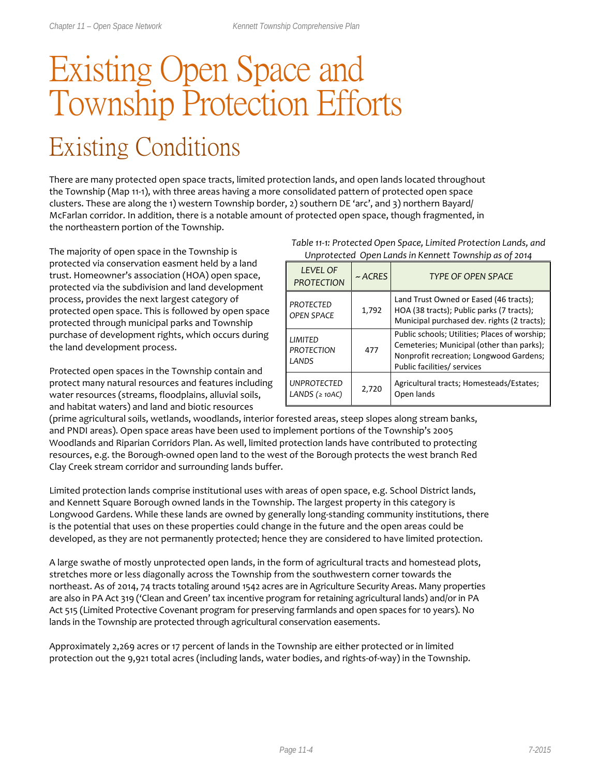# Existing Open Space and Township Protection Efforts Existing Conditions

There are many protected open space tracts, limited protection lands, and open lands located throughout the Township (Map 11-1), with three areas having a more consolidated pattern of protected open space clusters. These are along the 1) western Township border, 2) southern DE 'arc', and 3) northern Bayard/ McFarlan corridor. In addition, there is a notable amount of protected open space, though fragmented, in the northeastern portion of the Township.

The majority of open space in the Township is protected via conservation easment held by a land trust. Homeowner's association (HOA) open space, protected via the subdivision and land development process, provides the next largest category of protected open space. This is followed by open space protected through municipal parks and Township purchase of development rights, which occurs during the land development process.

Protected open spaces in the Township contain and protect many natural resources and features including water resources (streams, floodplains, alluvial soils, and habitat waters) and land and biotic resources

#### *Table 11-1: Protected Open Space, Limited Protection Lands, and Unprotected Open Lands in Kennett Township as of 2014*

| <b>LEVEL OF</b><br><b>PROTECTION</b>  | $~\sim$ ACRES | <b>TYPE OF OPEN SPACE</b>                                                                                                                                            |
|---------------------------------------|---------------|----------------------------------------------------------------------------------------------------------------------------------------------------------------------|
| <b>PROTECTED</b><br><b>OPEN SPACE</b> | 1,792         | Land Trust Owned or Eased (46 tracts);<br>HOA (38 tracts); Public parks (7 tracts);<br>Municipal purchased dev. rights (2 tracts);                                   |
| LIMITED<br><b>PROTECTION</b><br>LANDS | 477           | Public schools; Utilities; Places of worship;<br>Cemeteries; Municipal (other than parks);<br>Nonprofit recreation; Longwood Gardens;<br>Public facilities/ services |
| <b>UNPROTECTED</b><br>LANDS $(210AC)$ | 2,720         | Agricultural tracts; Homesteads/Estates;<br>Open lands                                                                                                               |

(prime agricultural soils, wetlands, woodlands, interior forested areas, steep slopes along stream banks, and PNDI areas). Open space areas have been used to implement portions of the Township's 2005 Woodlands and Riparian Corridors Plan. As well, limited protection lands have contributed to protecting resources, e.g. the Borough-owned open land to the west of the Borough protects the west branch Red Clay Creek stream corridor and surrounding lands buffer.

Limited protection lands comprise institutional uses with areas of open space, e.g. School District lands, and Kennett Square Borough owned lands in the Township. The largest property in this category is Longwood Gardens. While these lands are owned by generally long-standing community institutions, there is the potential that uses on these properties could change in the future and the open areas could be developed, as they are not permanently protected; hence they are considered to have limited protection.

A large swathe of mostly unprotected open lands, in the form of agricultural tracts and homestead plots, stretches more or less diagonally across the Township from the southwestern corner towards the northeast. As of 2014, 74 tracts totaling around 1542 acres are in Agriculture Security Areas. Many properties are also in PA Act 319 ('Clean and Green' tax incentive program for retaining agricultural lands) and/or in PA Act 515 (Limited Protective Covenant program for preserving farmlands and open spaces for 10 years). No lands in the Township are protected through agricultural conservation easements.

Approximately 2,269 acres or 17 percent of lands in the Township are either protected or in limited protection out the 9,921 total acres (including lands, water bodies, and rights-of-way) in the Township.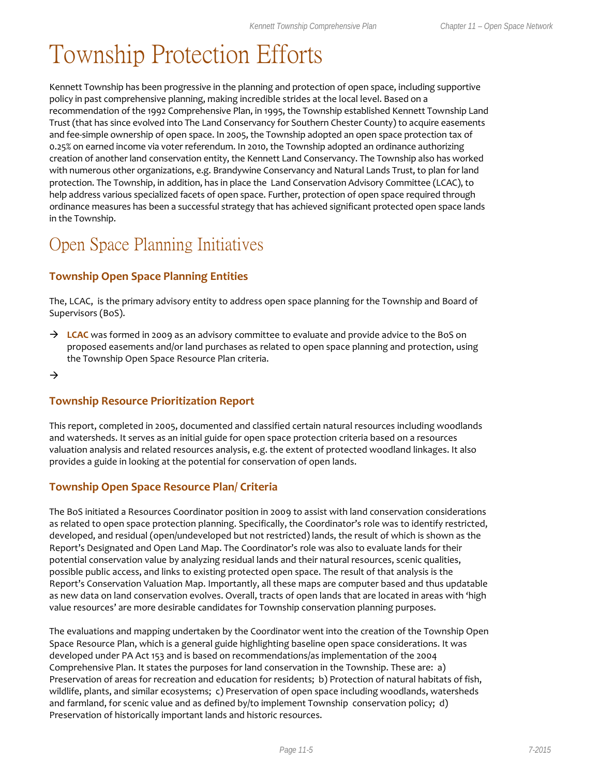## Township Protection Efforts

Kennett Township has been progressive in the planning and protection of open space, including supportive policy in past comprehensive planning, making incredible strides at the local level. Based on a recommendation of the 1992 Comprehensive Plan, in 1995, the Township established Kennett Township Land Trust (that has since evolved into The Land Conservancy for Southern Chester County) to acquire easements and fee-simple ownership of open space. In 2005, the Township adopted an open space protection tax of 0.25% on earned income via voter referendum. In 2010, the Township adopted an ordinance authorizing creation of another land conservation entity, the Kennett Land Conservancy. The Township also has worked with numerous other organizations, e.g. Brandywine Conservancy and Natural Lands Trust, to plan for land protection. The Township, in addition, has in place the Land Conservation Advisory Committee (LCAC), to help address various specialized facets of open space. Further, protection of open space required through ordinance measures has been a successful strategy that has achieved significant protected open space lands in the Township.

### Open Space Planning Initiatives

### **Township Open Space Planning Entities**

The, LCAC, is the primary advisory entity to address open space planning for the Township and Board of Supervisors (BoS).

- → LCAC was formed in 2009 as an advisory committee to evaluate and provide advice to the BoS on proposed easements and/or land purchases as related to open space planning and protection, using the Township Open Space Resource Plan criteria.
- $\rightarrow$

### **Township Resource Prioritization Report**

This report, completed in 2005, documented and classified certain natural resources including woodlands and watersheds. It serves as an initial guide for open space protection criteria based on a resources valuation analysis and related resources analysis, e.g. the extent of protected woodland linkages. It also provides a guide in looking at the potential for conservation of open lands.

### **Township Open Space Resource Plan/ Criteria**

The BoS initiated a Resources Coordinator position in 2009 to assist with land conservation considerations as related to open space protection planning. Specifically, the Coordinator's role was to identify restricted, developed, and residual (open/undeveloped but not restricted) lands, the result of which is shown as the Report's Designated and Open Land Map. The Coordinator's role was also to evaluate lands for their potential conservation value by analyzing residual lands and their natural resources, scenic qualities, possible public access, and links to existing protected open space. The result of that analysis is the Report's Conservation Valuation Map. Importantly, all these maps are computer based and thus updatable as new data on land conservation evolves. Overall, tracts of open lands that are located in areas with 'high value resources' are more desirable candidates for Township conservation planning purposes.

The evaluations and mapping undertaken by the Coordinator went into the creation of the Township Open Space Resource Plan, which is a general guide highlighting baseline open space considerations. It was developed under PA Act 153 and is based on recommendations/as implementation of the 2004 Comprehensive Plan. It states the purposes for land conservation in the Township. These are: a) Preservation of areas for recreation and education for residents; b) Protection of natural habitats of fish, wildlife, plants, and similar ecosystems; c) Preservation of open space including woodlands, watersheds and farmland, for scenic value and as defined by/to implement Township conservation policy; d) Preservation of historically important lands and historic resources.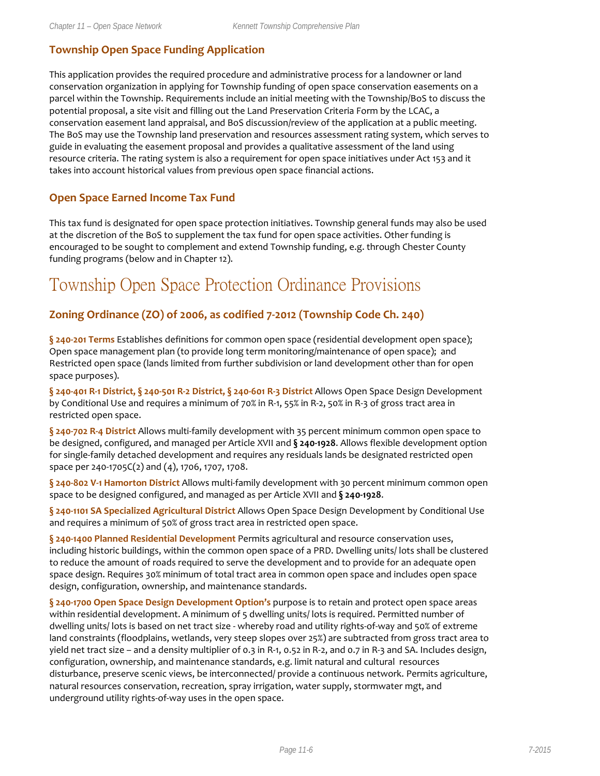### **Township Open Space Funding Application**

This application provides the required procedure and administrative process for a landowner or land conservation organization in applying for Township funding of open space conservation easements on a parcel within the Township. Requirements include an initial meeting with the Township/BoS to discuss the potential proposal, a site visit and filling out the Land Preservation Criteria Form by the LCAC, a conservation easement land appraisal, and BoS discussion/review of the application at a public meeting. The BoS may use the Township land preservation and resources assessment rating system, which serves to guide in evaluating the easement proposal and provides a qualitative assessment of the land using resource criteria. The rating system is also a requirement for open space initiatives under Act 153 and it takes into account historical values from previous open space financial actions.

### **Open Space Earned Income Tax Fund**

This tax fund is designated for open space protection initiatives. Township general funds may also be used at the discretion of the BoS to supplement the tax fund for open space activities. Other funding is encouraged to be sought to complement and extend Township funding, e.g. through Chester County funding programs (below and in Chapter 12).

### Township Open Space Protection Ordinance Provisions

### **Zoning Ordinance (ZO) of 2006, as codified 7-2012 (Township Code Ch. 240)**

**§ 240-201 Terms** Establishes definitions for common open space (residential development open space); Open space management plan (to provide long term monitoring/maintenance of open space); and Restricted open space (lands limited from further subdivision or land development other than for open space purposes).

**§ 240-401 R-1 District, § 240-501 R-2 District, § 240-601 R-3 District** Allows Open Space Design Development by Conditional Use and requires a minimum of 70% in R-1, 55% in R-2, 50% in R-3 of gross tract area in restricted open space.

**§ 240-702 R-4 District** Allows multi-family development with 35 percent minimum common open space to be designed, configured, and managed per Article XVII and **§ 240-1928**. Allows flexible development option for single-family detached development and requires any residuals lands be designated restricted open space per 240-1705C(2) and (4), 1706, 1707, 1708.

**§ 240-802 V-1 Hamorton District** Allows multi-family development with 30 percent minimum common open space to be designed configured, and managed as per Article XVII and **§ 240-1928**.

**§ 240-1101 SA Specialized Agricultural District** Allows Open Space Design Development by Conditional Use and requires a minimum of 50% of gross tract area in restricted open space.

**§ 240-1400 Planned Residential Development** Permits agricultural and resource conservation uses, including historic buildings, within the common open space of a PRD. Dwelling units/ lots shall be clustered to reduce the amount of roads required to serve the development and to provide for an adequate open space design. Requires 30% minimum of total tract area in common open space and includes open space design, configuration, ownership, and maintenance standards.

**§ 240-1700 Open Space Design Development Option's** purpose is to retain and protect open space areas within residential development. A minimum of 5 dwelling units/ lots is required. Permitted number of dwelling units/ lots is based on net tract size - whereby road and utility rights-of-way and 50% of extreme land constraints (floodplains, wetlands, very steep slopes over 25%) are subtracted from gross tract area to yield net tract size – and a density multiplier of 0.3 in R-1, 0.52 in R-2, and 0.7 in R-3 and SA. Includes design, configuration, ownership, and maintenance standards, e.g. limit natural and cultural resources disturbance, preserve scenic views, be interconnected/ provide a continuous network. Permits agriculture, natural resources conservation, recreation, spray irrigation, water supply, stormwater mgt, and underground utility rights-of-way uses in the open space.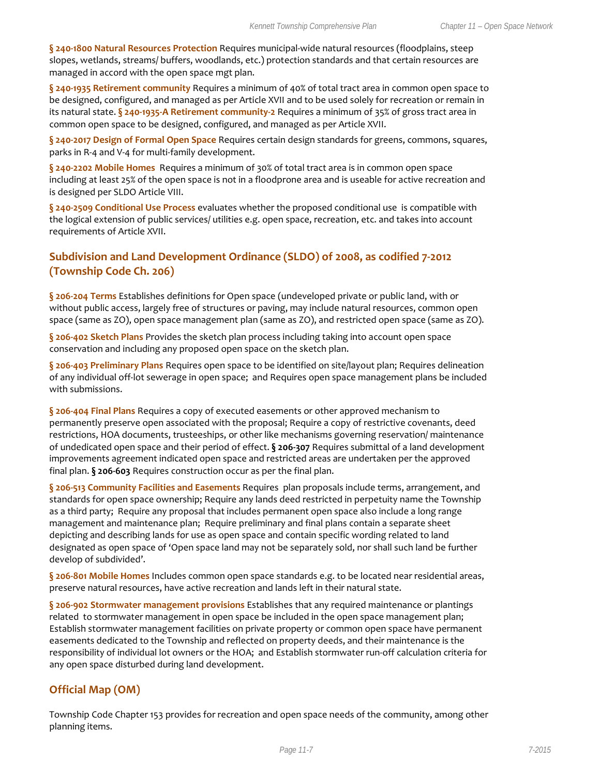**§ 240-1800 Natural Resources Protection** Requires municipal-wide natural resources (floodplains, steep slopes, wetlands, streams/ buffers, woodlands, etc.) protection standards and that certain resources are managed in accord with the open space mgt plan.

**§ 240-1935 Retirement community** Requires a minimum of 40% of total tract area in common open space to be designed, configured, and managed as per Article XVII and to be used solely for recreation or remain in its natural state. **§ 240-1935-A Retirement community-2** Requires a minimum of 35% of gross tract area in common open space to be designed, configured, and managed as per Article XVII.

**§ 240-2017 Design of Formal Open Space** Requires certain design standards for greens, commons, squares, parks in R-4 and V-4 for multi-family development.

**§ 240-2202 Mobile Homes** Requires a minimum of 30% of total tract area is in common open space including at least 25% of the open space is not in a floodprone area and is useable for active recreation and is designed per SLDO Article VIII.

**§ 240-2509 Conditional Use Process** evaluates whether the proposed conditional use is compatible with the logical extension of public services/ utilities e.g. open space, recreation, etc. and takes into account requirements of Article XVII.

### **Subdivision and Land Development Ordinance (SLDO) of 2008, as codified 7-2012 (Township Code Ch. 206)**

**§ 206-204 Terms** Establishes definitions for Open space (undeveloped private or public land, with or without public access, largely free of structures or paving, may include natural resources, common open space (same as ZO), open space management plan (same as ZO), and restricted open space (same as ZO).

**§ 206-402 Sketch Plans** Provides the sketch plan process including taking into account open space conservation and including any proposed open space on the sketch plan.

**§ 206-403 Preliminary Plans** Requires open space to be identified on site/layout plan; Requires delineation of any individual off-lot sewerage in open space; and Requires open space management plans be included with submissions.

**§ 206-404 Final Plans** Requires a copy of executed easements or other approved mechanism to permanently preserve open associated with the proposal; Require a copy of restrictive covenants, deed restrictions, HOA documents, trusteeships, or other like mechanisms governing reservation/ maintenance of undedicated open space and their period of effect. **§ 206-307** Requires submittal of a land development improvements agreement indicated open space and restricted areas are undertaken per the approved final plan. **§ 206-603** Requires construction occur as per the final plan.

**§ 206-513 Community Facilities and Easements** Requires plan proposals include terms, arrangement, and standards for open space ownership; Require any lands deed restricted in perpetuity name the Township as a third party; Require any proposal that includes permanent open space also include a long range management and maintenance plan; Require preliminary and final plans contain a separate sheet depicting and describing lands for use as open space and contain specific wording related to land designated as open space of 'Open space land may not be separately sold, nor shall such land be further develop of subdivided'.

**§ 206-801 Mobile Homes** Includes common open space standards e.g. to be located near residential areas, preserve natural resources, have active recreation and lands left in their natural state.

**§ 206-902 Stormwater management provisions** Establishes that any required maintenance or plantings related to stormwater management in open space be included in the open space management plan; Establish stormwater management facilities on private property or common open space have permanent easements dedicated to the Township and reflected on property deeds, and their maintenance is the responsibility of individual lot owners or the HOA; and Establish stormwater run-off calculation criteria for any open space disturbed during land development.

### **Official Map (OM)**

Township Code Chapter 153 provides for recreation and open space needs of the community, among other planning items.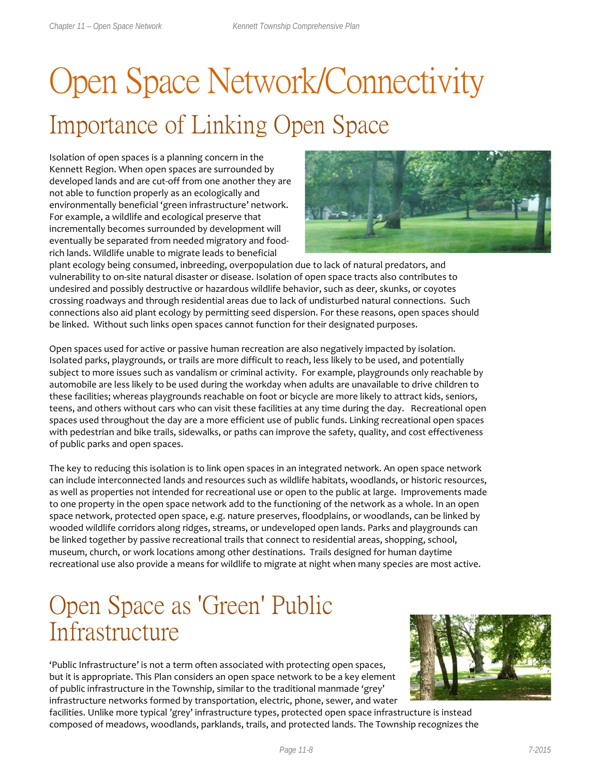# Open Space Network/Connectivity Importance of Linking Open Space

Isolation of open spaces is a planning concern in the Kennett Region. When open spaces are surrounded by developed lands and are cut-off from one another they are not able to function properly as an ecologically and environmentally beneficial 'green infrastructure' network. For example, a wildlife and ecological preserve that incrementally becomes surrounded by development will eventually be separated from needed migratory and foodrich lands. Wildlife unable to migrate leads to beneficial



plant ecology being consumed, inbreeding, overpopulation due to lack of natural predators, and vulnerability to on-site natural disaster or disease. Isolation of open space tracts also contributes to undesired and possibly destructive or hazardous wildlife behavior, such as deer, skunks, or coyotes crossing roadways and through residential areas due to lack of undisturbed natural connections. Such connections also aid plant ecology by permitting seed dispersion. For these reasons, open spaces should be linked. Without such links open spaces cannot function for their designated purposes.

Open spaces used for active or passive human recreation are also negatively impacted by isolation. Isolated parks, playgrounds, or trails are more difficult to reach, less likely to be used, and potentially subject to more issues such as vandalism or criminal activity. For example, playgrounds only reachable by automobile are less likely to be used during the workday when adults are unavailable to drive children to these facilities; whereas playgrounds reachable on foot or bicycle are more likely to attract kids, seniors, teens, and others without cars who can visit these facilities at any time during the day. Recreational open spaces used throughout the day are a more efficient use of public funds. Linking recreational open spaces with pedestrian and bike trails, sidewalks, or paths can improve the safety, quality, and cost effectiveness of public parks and open spaces.

The key to reducing this isolation is to link open spaces in an integrated network. An open space network can include interconnected lands and resources such as wildlife habitats, woodlands, or historic resources, as well as properties not intended for recreational use or open to the public at large. Improvements made to one property in the open space network add to the functioning of the network as a whole. In an open space network, protected open space, e.g. nature preserves, floodplains, or woodlands, can be linked by wooded wildlife corridors along ridges, streams, or undeveloped open lands. Parks and playgrounds can be linked together by passive recreational trails that connect to residential areas, shopping, school, museum, church, or work locations among other destinations. Trails designed for human daytime recreational use also provide a means for wildlife to migrate at night when many species are most active.

## Open Space as 'Green' Public Infrastructure

'Public Infrastructure' is not a term often associated with protecting open spaces, but it is appropriate. This Plan considers an open space network to be a key element of public infrastructure in the Township, similar to the traditional manmade 'grey' infrastructure networks formed by transportation, electric, phone, sewer, and water



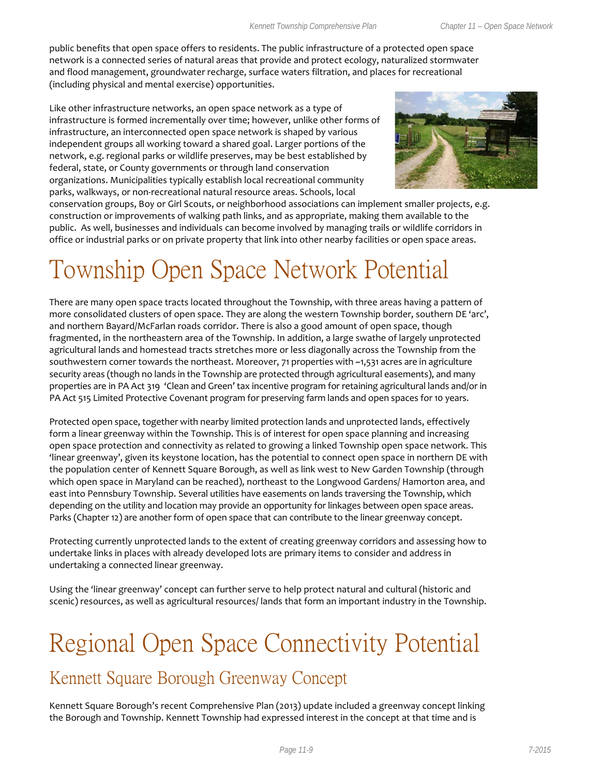public benefits that open space offers to residents. The public infrastructure of a protected open space network is a connected series of natural areas that provide and protect ecology, naturalized stormwater and flood management, groundwater recharge, surface waters filtration, and places for recreational (including physical and mental exercise) opportunities.

Like other infrastructure networks, an open space network as a type of infrastructure is formed incrementally over time; however, unlike other forms of infrastructure, an interconnected open space network is shaped by various independent groups all working toward a shared goal. Larger portions of the network, e.g. regional parks or wildlife preserves, may be best established by federal, state, or County governments or through land conservation organizations. Municipalities typically establish local recreational community parks, walkways, or non-recreational natural resource areas. Schools, local



conservation groups, Boy or Girl Scouts, or neighborhood associations can implement smaller projects, e.g. construction or improvements of walking path links, and as appropriate, making them available to the public. As well, businesses and individuals can become involved by managing trails or wildlife corridors in office or industrial parks or on private property that link into other nearby facilities or open space areas.

## Township Open Space Network Potential

There are many open space tracts located throughout the Township, with three areas having a pattern of more consolidated clusters of open space. They are along the western Township border, southern DE 'arc', and northern Bayard/McFarlan roads corridor. There is also a good amount of open space, though fragmented, in the northeastern area of the Township. In addition, a large swathe of largely unprotected agricultural lands and homestead tracts stretches more or less diagonally across the Township from the southwestern corner towards the northeast. Moreover, 71 properties with ~1,531 acres are in agriculture security areas (though no lands in the Township are protected through agricultural easements), and many properties are in PA Act 319 'Clean and Green' tax incentive program for retaining agricultural lands and/or in PA Act 515 Limited Protective Covenant program for preserving farm lands and open spaces for 10 years.

Protected open space, together with nearby limited protection lands and unprotected lands, effectively form a linear greenway within the Township. This is of interest for open space planning and increasing open space protection and connectivity as related to growing a linked Township open space network. This 'linear greenway', given its keystone location, has the potential to connect open space in northern DE with the population center of Kennett Square Borough, as well as link west to New Garden Township (through which open space in Maryland can be reached), northeast to the Longwood Gardens/ Hamorton area, and east into Pennsbury Township. Several utilities have easements on lands traversing the Township, which depending on the utility and location may provide an opportunity for linkages between open space areas. Parks (Chapter 12) are another form of open space that can contribute to the linear greenway concept.

Protecting currently unprotected lands to the extent of creating greenway corridors and assessing how to undertake links in places with already developed lots are primary items to consider and address in undertaking a connected linear greenway.

Using the 'linear greenway' concept can further serve to help protect natural and cultural (historic and scenic) resources, as well as agricultural resources/ lands that form an important industry in the Township.

## Regional Open Space Connectivity Potential

### Kennett Square Borough Greenway Concept

Kennett Square Borough's recent Comprehensive Plan (2013) update included a greenway concept linking the Borough and Township. Kennett Township had expressed interest in the concept at that time and is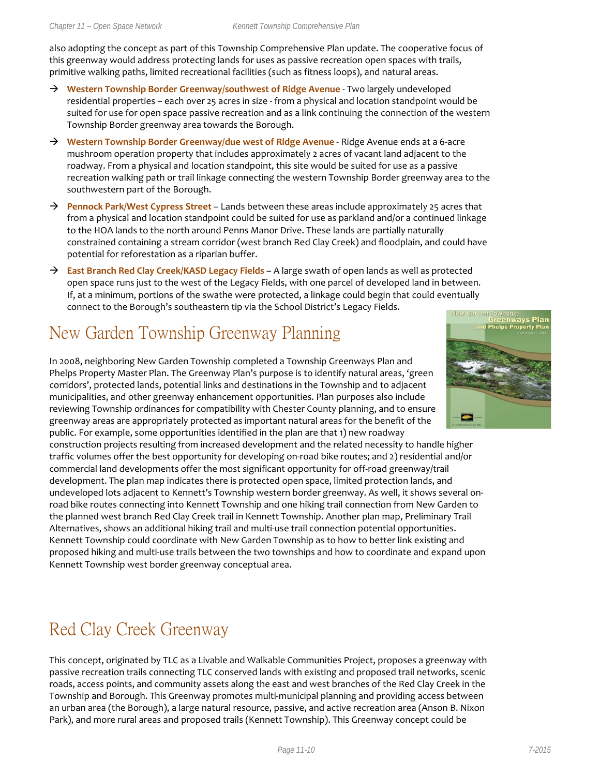also adopting the concept as part of this Township Comprehensive Plan update. The cooperative focus of this greenway would address protecting lands for uses as passive recreation open spaces with trails, primitive walking paths, limited recreational facilities (such as fitness loops), and natural areas.

- → **Western Township Border Greenway/southwest of Ridge Avenue** Two largely undeveloped residential properties – each over 25 acres in size - from a physical and location standpoint would be suited for use for open space passive recreation and as a link continuing the connection of the western Township Border greenway area towards the Borough.
- **Western Township Border Greenway/due west of Ridge Avenue** Ridge Avenue ends at a 6-acre mushroom operation property that includes approximately 2 acres of vacant land adjacent to the roadway. From a physical and location standpoint, this site would be suited for use as a passive recreation walking path or trail linkage connecting the western Township Border greenway area to the southwestern part of the Borough.
- → **Pennock Park/West Cypress Street** Lands between these areas include approximately 25 acres that from a physical and location standpoint could be suited for use as parkland and/or a continued linkage to the HOA lands to the north around Penns Manor Drive. These lands are partially naturally constrained containing a stream corridor (west branch Red Clay Creek) and floodplain, and could have potential for reforestation as a riparian buffer.
- **East Branch Red Clay Creek/KASD Legacy Fields**  A large swath of open lands as well as protected open space runs just to the west of the Legacy Fields, with one parcel of developed land in between. If, at a minimum, portions of the swathe were protected, a linkage could begin that could eventually connect to the Borough's southeastern tip via the School District's Legacy Fields.

## New Garden Township Greenway Planning

In 2008, neighboring New Garden Township completed a Township Greenways Plan and Phelps Property Master Plan. The Greenway Plan's purpose is to identify natural areas, 'green corridors', protected lands, potential links and destinations in the Township and to adjacent municipalities, and other greenway enhancement opportunities. Plan purposes also include reviewing Township ordinances for compatibility with Chester County planning, and to ensure greenway areas are appropriately protected as important natural areas for the benefit of the public. For example, some opportunities identified in the plan are that 1) new roadway

construction projects resulting from increased development and the related necessity to handle higher traffic volumes offer the best opportunity for developing on-road bike routes; and 2) residential and/or commercial land developments offer the most significant opportunity for off-road greenway/trail development. The plan map indicates there is protected open space, limited protection lands, and undeveloped lots adjacent to Kennett's Township western border greenway. As well, it shows several onroad bike routes connecting into Kennett Township and one hiking trail connection from New Garden to the planned west branch Red Clay Creek trail in Kennett Township. Another plan map, Preliminary Trail Alternatives, shows an additional hiking trail and multi-use trail connection potential opportunities. Kennett Township could coordinate with New Garden Township as to how to better link existing and proposed hiking and multi-use trails between the two townships and how to coordinate and expand upon Kennett Township west border greenway conceptual area.

## Red Clay Creek Greenway

This concept, originated by TLC as a Livable and Walkable Communities Project, proposes a greenway with passive recreation trails connecting TLC conserved lands with existing and proposed trail networks, scenic roads, access points, and community assets along the east and west branches of the Red Clay Creek in the Township and Borough. This Greenway promotes multi-municipal planning and providing access between an urban area (the Borough), a large natural resource, passive, and active recreation area (Anson B. Nixon Park), and more rural areas and proposed trails (Kennett Township). This Greenway concept could be

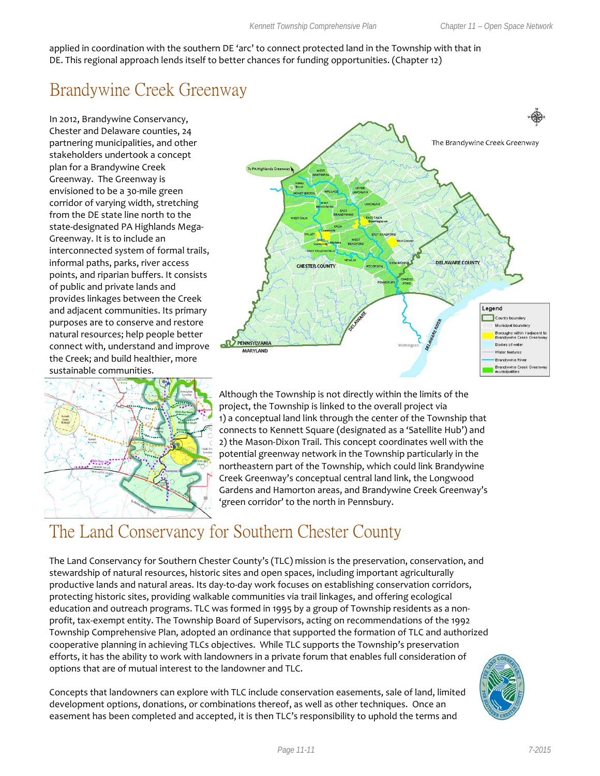applied in coordination with the southern DE 'arc' to connect protected land in the Township with that in DE. This regional approach lends itself to better chances for funding opportunities. (Chapter 12)

## Brandywine Creek Greenway

In 2012, Brandywine Conservancy, Chester and Delaware counties, 24 partnering municipalities, and other stakeholders undertook a concept plan for a Brandywine Creek Greenway. The Greenway is envisioned to be a 30-mile green corridor of varying width, stretching from the DE state line north to the state-designated PA Highlands Mega-Greenway. It is to include an interconnected system of formal trails, informal paths, parks, river access points, and riparian buffers. It consists of public and private lands and provides linkages between the Creek and adjacent communities. Its primary purposes are to conserve and restore natural resources; help people better connect with, understand and improve the Creek; and build healthier, more sustainable communities.





Although the Township is not directly within the limits of the project, the Township is linked to the overall project via 1) a conceptual land link through the center of the Township that connects to Kennett Square (designated as a 'Satellite Hub') and 2) the Mason-Dixon Trail. This concept coordinates well with the potential greenway network in the Township particularly in the northeastern part of the Township, which could link Brandywine Creek Greenway's conceptual central land link, the Longwood Gardens and Hamorton areas, and Brandywine Creek Greenway's 'green corridor' to the north in Pennsbury.

## The Land Conservancy for Southern Chester County

The Land Conservancy for Southern Chester County's (TLC) mission is the preservation, conservation, and stewardship of natural resources, historic sites and open spaces, including important agriculturally productive lands and natural areas. Its day-to-day work focuses on establishing conservation corridors, protecting historic sites, providing walkable communities via trail linkages, and offering ecological education and outreach programs. TLC was formed in 1995 by a group of Township residents as a nonprofit, tax-exempt entity. The Township Board of Supervisors, acting on recommendations of the 1992 Township Comprehensive Plan, adopted an ordinance that supported the formation of TLC and authorized cooperative planning in achieving TLCs objectives. While TLC supports the Township's preservation efforts, it has the ability to work with landowners in a private forum that enables full consideration of options that are of mutual interest to the landowner and TLC.

Concepts that landowners can explore with TLC include conservation easements, sale of land, limited development options, donations, or combinations thereof, as well as other techniques. Once an easement has been completed and accepted, it is then TLC's responsibility to uphold the terms and

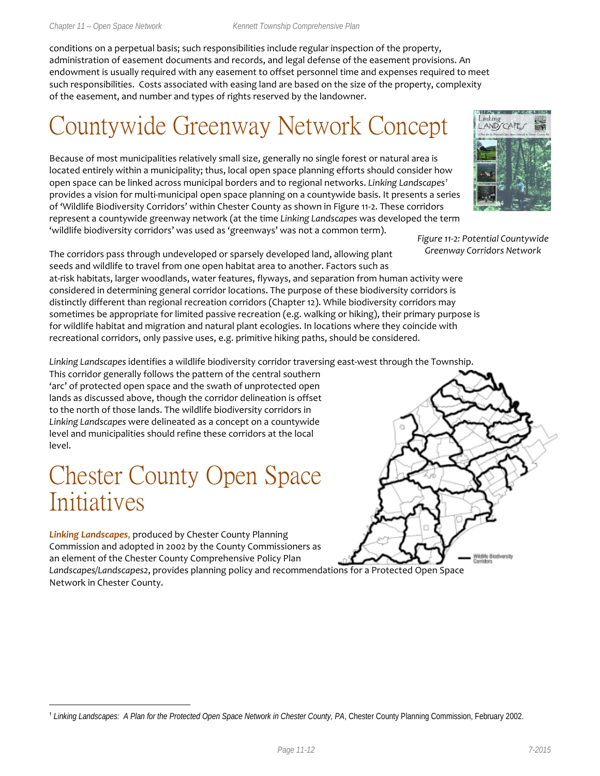conditions on a perpetual basis; such responsibilities include regular inspection of the property, administration of easement documents and records, and legal defense of the easement provisions. An endowment is usually required with any easement to offset personnel time and expenses required to meet such responsibilities. Costs associated with easing land are based on the size of the property, complexity of the easement, and number and types of rights reserved by the landowner.

## Countywide Greenway Network Concept

Because of most municipalities relatively small size, generally no single forest or natural area is located entirely within a municipality; thus, local open space planning efforts should consider how open space can be linked across municipal borders and to regional networks. *Linking Landscapes[1](#page-11-0)* provides a vision for multi-municipal open space planning on a countywide basis. It presents a series of 'Wildlife Biodiversity Corridors' within Chester County as shown in Figure 11-2. These corridors represent a countywide greenway network (at the time *Linking Landscapes* was developed the term 'wildlife biodiversity corridors' was used as 'greenways' was not a common term).



*Figure 11-2: Potential Countywide Greenway Corridors Network*

Wildlife Blochversity<br>Comidors

The corridors pass through undeveloped or sparsely developed land, allowing plant seeds and wildlife to travel from one open habitat area to another. Factors such as

at-risk habitats, larger woodlands, water features, flyways, and separation from human activity were considered in determining general corridor locations. The purpose of these biodiversity corridors is distinctly different than regional recreation corridors (Chapter 12). While biodiversity corridors may sometimes be appropriate for limited passive recreation (e.g. walking or hiking), their primary purpose is for wildlife habitat and migration and natural plant ecologies. In locations where they coincide with recreational corridors, only passive uses, e.g. primitive hiking paths, should be considered.

*Linking Landscapes* identifies a wildlife biodiversity corridor traversing east-west through the Township.

This corridor generally follows the pattern of the central southern 'arc' of protected open space and the swath of unprotected open lands as discussed above, though the corridor delineation is offset to the north of those lands. The wildlife biodiversity corridors in *Linking Landscapes* were delineated as a concept on a countywide level and municipalities should refine these corridors at the local level.

## Chester County Open Space Initiatives

*Linking Landscapes*, produced by Chester County Planning Commission and adopted in 2002 by the County Commissioners as an element of the Chester County Comprehensive Policy Plan

*Landscapes/Landscapes2*, provides planning policy and recommendations for a Protected Open Space Network in Chester County.

<span id="page-11-0"></span>

 <sup>1</sup> *Linking Landscapes: A Plan for the Protected Open Space Network in Chester County, PA*, Chester County Planning Commission, February 2002.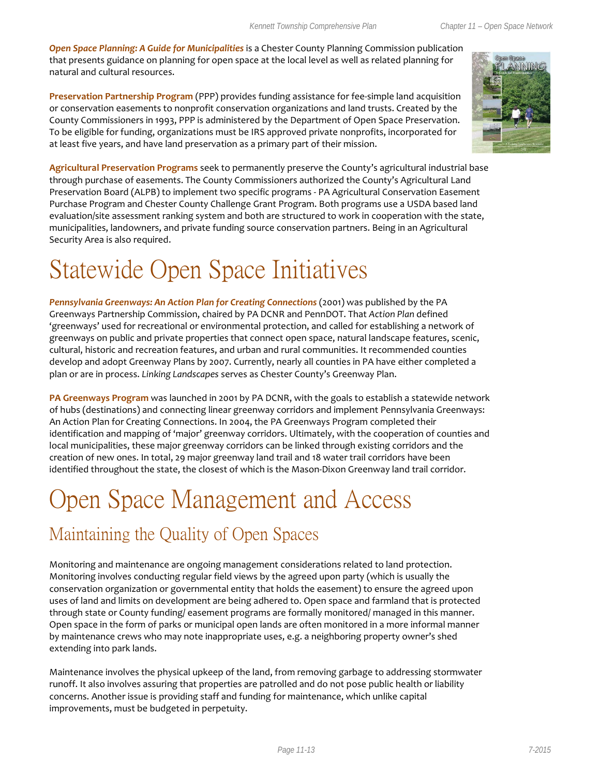*Open Space Planning: A Guide for Municipalities* is a Chester County Planning Commission publication that presents guidance on planning for open space at the local level as well as related planning for natural and cultural resources.

**Preservation Partnership Program** (PPP) provides funding assistance for fee-simple land acquisition or conservation easements to nonprofit conservation organizations and land trusts. Created by the County Commissioners in 1993, PPP is administered by the Department of Open Space Preservation. To be eligible for funding, organizations must be IRS approved private nonprofits, incorporated for at least five years, and have land preservation as a primary part of their mission.



**Agricultural Preservation Programs** seek to permanently preserve the County's agricultural industrial base through purchase of easements. The County Commissioners authorized the County's Agricultural Land Preservation Board (ALPB) to implement two specific programs - PA Agricultural Conservation Easement Purchase Program and Chester County Challenge Grant Program. Both programs use a USDA based land evaluation/site assessment ranking system and both are structured to work in cooperation with the state, municipalities, landowners, and private funding source conservation partners. Being in an Agricultural Security Area is also required.

## Statewide Open Space Initiatives

*Pennsylvania Greenways: An Action Plan for Creating Connections* (2001) was published by the PA Greenways Partnership Commission, chaired by PA DCNR and PennDOT. That *Action Plan* defined 'greenways' used for recreational or environmental protection, and called for establishing a network of greenways on public and private properties that connect open space, natural landscape features, scenic, cultural, historic and recreation features, and urban and rural communities. It recommended counties develop and adopt Greenway Plans by 2007. Currently, nearly all counties in PA have either completed a plan or are in process. *Linking Landscapes* serves as Chester County's Greenway Plan.

**PA Greenways Program** was launched in 2001 by PA DCNR, with the goals to establish a statewide network of hubs (destinations) and connecting linear greenway corridors and implement Pennsylvania Greenways: An Action Plan for Creating Connections. In 2004, the PA Greenways Program completed their identification and mapping of 'major' greenway corridors. Ultimately, with the cooperation of counties and local municipalities, these major greenway corridors can be linked through existing corridors and the creation of new ones. In total, 29 major greenway land trail and 18 water trail corridors have been identified throughout the state, the closest of which is the Mason-Dixon Greenway land trail corridor.

## Open Space Management and Access

## Maintaining the Quality of Open Spaces

Monitoring and maintenance are ongoing management considerations related to land protection. Monitoring involves conducting regular field views by the agreed upon party (which is usually the conservation organization or governmental entity that holds the easement) to ensure the agreed upon uses of land and limits on development are being adhered to. Open space and farmland that is protected through state or County funding/ easement programs are formally monitored/ managed in this manner. Open space in the form of parks or municipal open lands are often monitored in a more informal manner by maintenance crews who may note inappropriate uses, e.g. a neighboring property owner's shed extending into park lands.

Maintenance involves the physical upkeep of the land, from removing garbage to addressing stormwater runoff. It also involves assuring that properties are patrolled and do not pose public health or liability concerns. Another issue is providing staff and funding for maintenance, which unlike capital improvements, must be budgeted in perpetuity.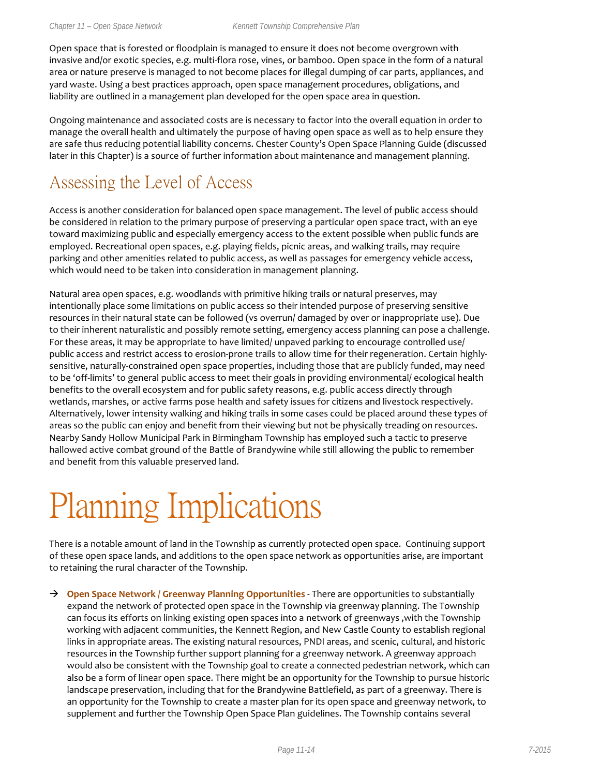Open space that is forested or floodplain is managed to ensure it does not become overgrown with invasive and/or exotic species, e.g. multi-flora rose, vines, or bamboo. Open space in the form of a natural area or nature preserve is managed to not become places for illegal dumping of car parts, appliances, and yard waste. Using a best practices approach, open space management procedures, obligations, and liability are outlined in a management plan developed for the open space area in question.

Ongoing maintenance and associated costs are is necessary to factor into the overall equation in order to manage the overall health and ultimately the purpose of having open space as well as to help ensure they are safe thus reducing potential liability concerns. Chester County's Open Space Planning Guide (discussed later in this Chapter) is a source of further information about maintenance and management planning.

### Assessing the Level of Access

Access is another consideration for balanced open space management. The level of public access should be considered in relation to the primary purpose of preserving a particular open space tract, with an eye toward maximizing public and especially emergency access to the extent possible when public funds are employed. Recreational open spaces, e.g. playing fields, picnic areas, and walking trails, may require parking and other amenities related to public access, as well as passages for emergency vehicle access, which would need to be taken into consideration in management planning.

Natural area open spaces, e.g. woodlands with primitive hiking trails or natural preserves, may intentionally place some limitations on public access so their intended purpose of preserving sensitive resources in their natural state can be followed (vs overrun/ damaged by over or inappropriate use). Due to their inherent naturalistic and possibly remote setting, emergency access planning can pose a challenge. For these areas, it may be appropriate to have limited/ unpaved parking to encourage controlled use/ public access and restrict access to erosion-prone trails to allow time for their regeneration. Certain highlysensitive, naturally-constrained open space properties, including those that are publicly funded, may need to be 'off-limits' to general public access to meet their goals in providing environmental/ ecological health benefits to the overall ecosystem and for public safety reasons, e.g. public access directly through wetlands, marshes, or active farms pose health and safety issues for citizens and livestock respectively. Alternatively, lower intensity walking and hiking trails in some cases could be placed around these types of areas so the public can enjoy and benefit from their viewing but not be physically treading on resources. Nearby Sandy Hollow Municipal Park in Birmingham Township has employed such a tactic to preserve hallowed active combat ground of the Battle of Brandywine while still allowing the public to remember and benefit from this valuable preserved land.

# Planning Implications

There is a notable amount of land in the Township as currently protected open space. Continuing support of these open space lands, and additions to the open space network as opportunities arise, are important to retaining the rural character of the Township.

→ Open Space Network / Greenway Planning Opportunities - There are opportunities to substantially expand the network of protected open space in the Township via greenway planning. The Township can focus its efforts on linking existing open spaces into a network of greenways ,with the Township working with adjacent communities, the Kennett Region, and New Castle County to establish regional links in appropriate areas. The existing natural resources, PNDI areas, and scenic, cultural, and historic resources in the Township further support planning for a greenway network. A greenway approach would also be consistent with the Township goal to create a connected pedestrian network, which can also be a form of linear open space. There might be an opportunity for the Township to pursue historic landscape preservation, including that for the Brandywine Battlefield, as part of a greenway. There is an opportunity for the Township to create a master plan for its open space and greenway network, to supplement and further the Township Open Space Plan guidelines. The Township contains several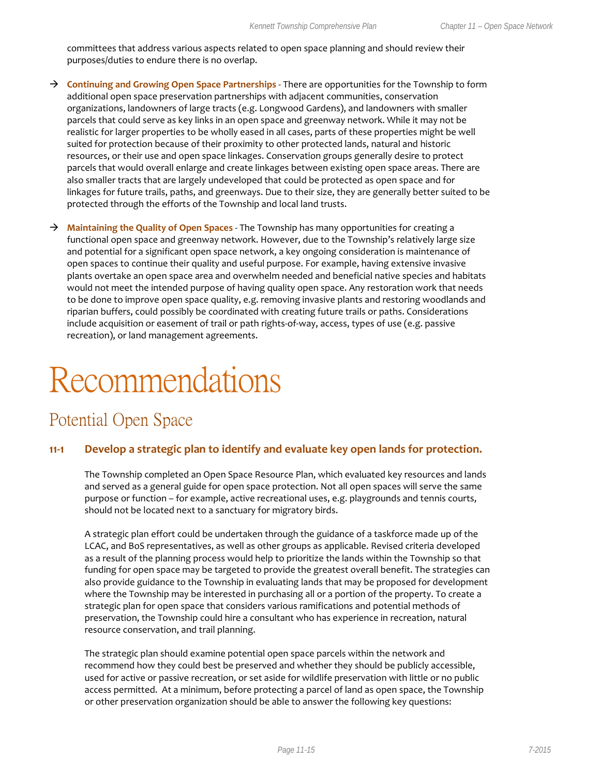committees that address various aspects related to open space planning and should review their purposes/duties to endure there is no overlap.

- **Continuing and Growing Open Space Partnerships** There are opportunities for the Township to form additional open space preservation partnerships with adjacent communities, conservation organizations, landowners of large tracts (e.g. Longwood Gardens), and landowners with smaller parcels that could serve as key links in an open space and greenway network. While it may not be realistic for larger properties to be wholly eased in all cases, parts of these properties might be well suited for protection because of their proximity to other protected lands, natural and historic resources, or their use and open space linkages. Conservation groups generally desire to protect parcels that would overall enlarge and create linkages between existing open space areas. There are also smaller tracts that are largely undeveloped that could be protected as open space and for linkages for future trails, paths, and greenways. Due to their size, they are generally better suited to be protected through the efforts of the Township and local land trusts.
- **Maintaining the Quality of Open Spaces** The Township has many opportunities for creating a functional open space and greenway network. However, due to the Township's relatively large size and potential for a significant open space network, a key ongoing consideration is maintenance of open spaces to continue their quality and useful purpose. For example, having extensive invasive plants overtake an open space area and overwhelm needed and beneficial native species and habitats would not meet the intended purpose of having quality open space. Any restoration work that needs to be done to improve open space quality, e.g. removing invasive plants and restoring woodlands and riparian buffers, could possibly be coordinated with creating future trails or paths. Considerations include acquisition or easement of trail or path rights-of-way, access, types of use (e.g. passive recreation), or land management agreements.

# Recommendations

### Potential Open Space

#### **11-1 Develop a strategic plan to identify and evaluate key open lands for protection.**

The Township completed an Open Space Resource Plan, which evaluated key resources and lands and served as a general guide for open space protection. Not all open spaces will serve the same purpose or function – for example, active recreational uses, e.g. playgrounds and tennis courts, should not be located next to a sanctuary for migratory birds.

A strategic plan effort could be undertaken through the guidance of a taskforce made up of the LCAC, and BoS representatives, as well as other groups as applicable. Revised criteria developed as a result of the planning process would help to prioritize the lands within the Township so that funding for open space may be targeted to provide the greatest overall benefit. The strategies can also provide guidance to the Township in evaluating lands that may be proposed for development where the Township may be interested in purchasing all or a portion of the property. To create a strategic plan for open space that considers various ramifications and potential methods of preservation, the Township could hire a consultant who has experience in recreation, natural resource conservation, and trail planning.

The strategic plan should examine potential open space parcels within the network and recommend how they could best be preserved and whether they should be publicly accessible, used for active or passive recreation, or set aside for wildlife preservation with little or no public access permitted. At a minimum, before protecting a parcel of land as open space, the Township or other preservation organization should be able to answer the following key questions: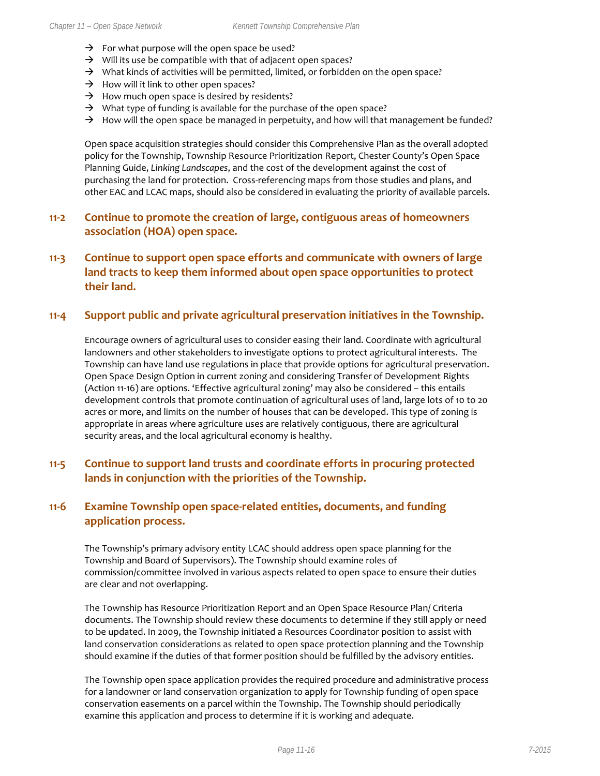- $\rightarrow$  For what purpose will the open space be used?
- $\rightarrow$  Will its use be compatible with that of adjacent open spaces?
- $\rightarrow$  What kinds of activities will be permitted, limited, or forbidden on the open space?
- $\rightarrow$  How will it link to other open spaces?
- $\rightarrow$  How much open space is desired by residents?
- $\rightarrow$  What type of funding is available for the purchase of the open space?
- $\rightarrow$  How will the open space be managed in perpetuity, and how will that management be funded?

Open space acquisition strategies should consider this Comprehensive Plan as the overall adopted policy for the Township, Township Resource Prioritization Report, Chester County's Open Space Planning Guide, *Linking Landscapes*, and the cost of the development against the cost of purchasing the land for protection. Cross-referencing maps from those studies and plans, and other EAC and LCAC maps, should also be considered in evaluating the priority of available parcels.

#### **11-2 Continue to promote the creation of large, contiguous areas of homeowners association (HOA) open space.**

### **11-3 Continue to support open space efforts and communicate with owners of large land tracts to keep them informed about open space opportunities to protect their land.**

#### **11-4 Support public and private agricultural preservation initiatives in the Township.**

Encourage owners of agricultural uses to consider easing their land. Coordinate with agricultural landowners and other stakeholders to investigate options to protect agricultural interests. The Township can have land use regulations in place that provide options for agricultural preservation. Open Space Design Option in current zoning and considering Transfer of Development Rights (Action 11-16) are options. 'Effective agricultural zoning' may also be considered – this entails development controls that promote continuation of agricultural uses of land, large lots of 10 to 20 acres or more, and limits on the number of houses that can be developed. This type of zoning is appropriate in areas where agriculture uses are relatively contiguous, there are agricultural security areas, and the local agricultural economy is healthy.

### **11-5 Continue to support land trusts and coordinate efforts in procuring protected lands in conjunction with the priorities of the Township.**

### **11-6 Examine Township open space-related entities, documents, and funding application process.**

The Township's primary advisory entity LCAC should address open space planning for the Township and Board of Supervisors). The Township should examine roles of commission/committee involved in various aspects related to open space to ensure their duties are clear and not overlapping.

The Township has Resource Prioritization Report and an Open Space Resource Plan/ Criteria documents. The Township should review these documents to determine if they still apply or need to be updated. In 2009, the Township initiated a Resources Coordinator position to assist with land conservation considerations as related to open space protection planning and the Township should examine if the duties of that former position should be fulfilled by the advisory entities.

The Township open space application provides the required procedure and administrative process for a landowner or land conservation organization to apply for Township funding of open space conservation easements on a parcel within the Township. The Township should periodically examine this application and process to determine if it is working and adequate.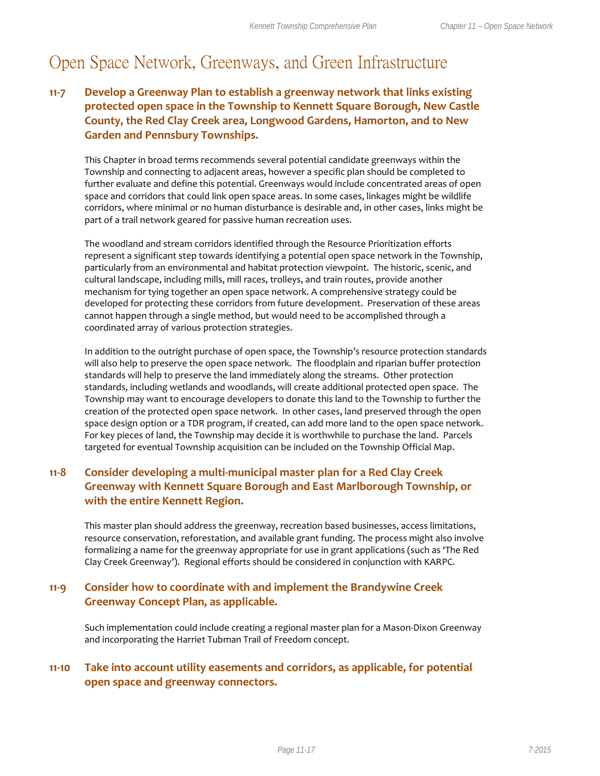## Open Space Network, Greenways, and Green Infrastructure

### **11-7 Develop a Greenway Plan to establish a greenway network that links existing protected open space in the Township to Kennett Square Borough, New Castle County, the Red Clay Creek area, Longwood Gardens, Hamorton, and to New Garden and Pennsbury Townships.**

This Chapter in broad terms recommends several potential candidate greenways within the Township and connecting to adjacent areas, however a specific plan should be completed to further evaluate and define this potential. Greenways would include concentrated areas of open space and corridors that could link open space areas. In some cases, linkages might be wildlife corridors, where minimal or no human disturbance is desirable and, in other cases, links might be part of a trail network geared for passive human recreation uses.

The woodland and stream corridors identified through the Resource Prioritization efforts represent a significant step towards identifying a potential open space network in the Township, particularly from an environmental and habitat protection viewpoint. The historic, scenic, and cultural landscape, including mills, mill races, trolleys, and train routes, provide another mechanism for tying together an open space network. A comprehensive strategy could be developed for protecting these corridors from future development. Preservation of these areas cannot happen through a single method, but would need to be accomplished through a coordinated array of various protection strategies.

In addition to the outright purchase of open space, the Township's resource protection standards will also help to preserve the open space network. The floodplain and riparian buffer protection standards will help to preserve the land immediately along the streams. Other protection standards, including wetlands and woodlands, will create additional protected open space. The Township may want to encourage developers to donate this land to the Township to further the creation of the protected open space network. In other cases, land preserved through the open space design option or a TDR program, if created, can add more land to the open space network. For key pieces of land, the Township may decide it is worthwhile to purchase the land. Parcels targeted for eventual Township acquisition can be included on the Township Official Map.

### **11-8 Consider developing a multi-municipal master plan for a Red Clay Creek Greenway with Kennett Square Borough and East Marlborough Township, or with the entire Kennett Region.**

This master plan should address the greenway, recreation based businesses, access limitations, resource conservation, reforestation, and available grant funding. The process might also involve formalizing a name for the greenway appropriate for use in grant applications (such as 'The Red Clay Creek Greenway'). Regional efforts should be considered in conjunction with KARPC.

### **11-9 Consider how to coordinate with and implement the Brandywine Creek Greenway Concept Plan, as applicable.**

Such implementation could include creating a regional master plan for a Mason-Dixon Greenway and incorporating the Harriet Tubman Trail of Freedom concept.

### **11-10 Take into account utility easements and corridors, as applicable, for potential open space and greenway connectors.**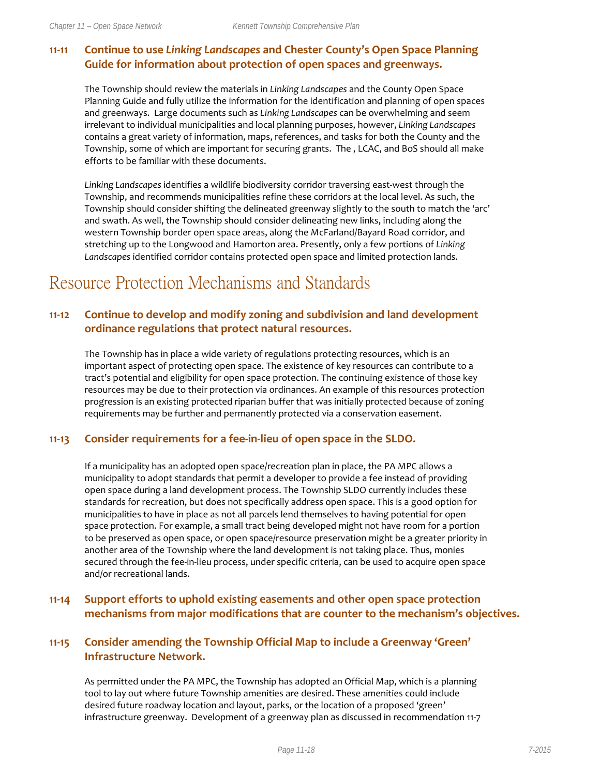### **11-11 Continue to use** *Linking Landscapes* **and Chester County's Open Space Planning Guide for information about protection of open spaces and greenways.**

The Township should review the materials in *Linking Landscapes* and the County Open Space Planning Guide and fully utilize the information for the identification and planning of open spaces and greenways. Large documents such as *Linking Landscapes* can be overwhelming and seem irrelevant to individual municipalities and local planning purposes, however, *Linking Landscapes* contains a great variety of information, maps, references, and tasks for both the County and the Township, some of which are important for securing grants. The , LCAC, and BoS should all make efforts to be familiar with these documents.

*Linking Landscapes* identifies a wildlife biodiversity corridor traversing east-west through the Township, and recommends municipalities refine these corridors at the local level. As such, the Township should consider shifting the delineated greenway slightly to the south to match the 'arc' and swath. As well, the Township should consider delineating new links, including along the western Township border open space areas, along the McFarland/Bayard Road corridor, and stretching up to the Longwood and Hamorton area. Presently, only a few portions of *Linking Landscapes* identified corridor contains protected open space and limited protection lands.

## Resource Protection Mechanisms and Standards

### **11-12 Continue to develop and modify zoning and subdivision and land development ordinance regulations that protect natural resources.**

The Township has in place a wide variety of regulations protecting resources, which is an important aspect of protecting open space. The existence of key resources can contribute to a tract's potential and eligibility for open space protection. The continuing existence of those key resources may be due to their protection via ordinances. An example of this resources protection progression is an existing protected riparian buffer that was initially protected because of zoning requirements may be further and permanently protected via a conservation easement.

### **11-13 Consider requirements for a fee-in-lieu of open space in the SLDO.**

If a municipality has an adopted open space/recreation plan in place, the PA MPC allows a municipality to adopt standards that permit a developer to provide a fee instead of providing open space during a land development process. The Township SLDO currently includes these standards for recreation, but does not specifically address open space. This is a good option for municipalities to have in place as not all parcels lend themselves to having potential for open space protection. For example, a small tract being developed might not have room for a portion to be preserved as open space, or open space/resource preservation might be a greater priority in another area of the Township where the land development is not taking place. Thus, monies secured through the fee-in-lieu process, under specific criteria, can be used to acquire open space and/or recreational lands.

### **11-14 Support efforts to uphold existing easements and other open space protection mechanisms from major modifications that are counter to the mechanism's objectives.**

### **11-15 Consider amending the Township Official Map to include a Greenway 'Green' Infrastructure Network.**

As permitted under the PA MPC, the Township has adopted an Official Map, which is a planning tool to lay out where future Township amenities are desired. These amenities could include desired future roadway location and layout, parks, or the location of a proposed 'green' infrastructure greenway. Development of a greenway plan as discussed in recommendation 11-7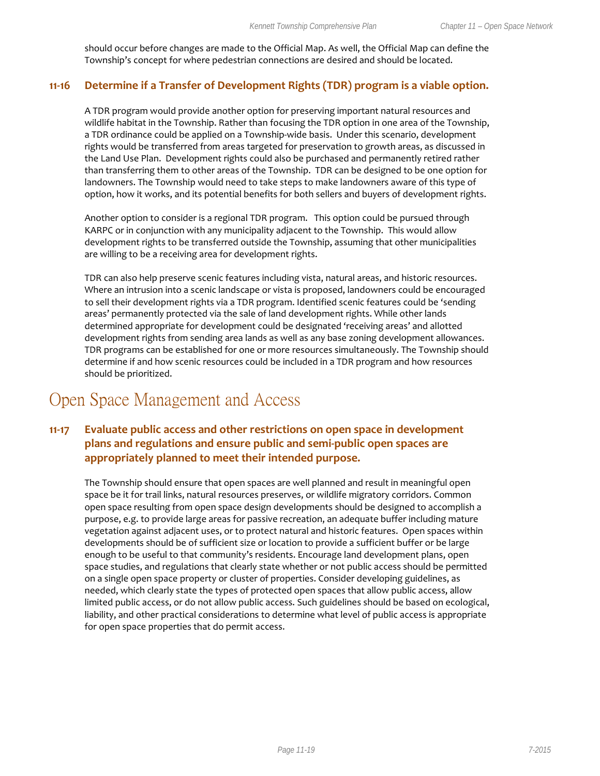should occur before changes are made to the Official Map. As well, the Official Map can define the Township's concept for where pedestrian connections are desired and should be located.

#### **11-16 Determine if a Transfer of Development Rights (TDR) program is a viable option.**

A TDR program would provide another option for preserving important natural resources and wildlife habitat in the Township. Rather than focusing the TDR option in one area of the Township, a TDR ordinance could be applied on a Township-wide basis. Under this scenario, development rights would be transferred from areas targeted for preservation to growth areas, as discussed in the Land Use Plan. Development rights could also be purchased and permanently retired rather than transferring them to other areas of the Township. TDR can be designed to be one option for landowners. The Township would need to take steps to make landowners aware of this type of option, how it works, and its potential benefits for both sellers and buyers of development rights.

Another option to consider is a regional TDR program. This option could be pursued through KARPC or in conjunction with any municipality adjacent to the Township. This would allow development rights to be transferred outside the Township, assuming that other municipalities are willing to be a receiving area for development rights.

TDR can also help preserve scenic features including vista, natural areas, and historic resources. Where an intrusion into a scenic landscape or vista is proposed, landowners could be encouraged to sell their development rights via a TDR program. Identified scenic features could be 'sending areas' permanently protected via the sale of land development rights. While other lands determined appropriate for development could be designated 'receiving areas' and allotted development rights from sending area lands as well as any base zoning development allowances. TDR programs can be established for one or more resources simultaneously. The Township should determine if and how scenic resources could be included in a TDR program and how resources should be prioritized.

### Open Space Management and Access

### **11-17 Evaluate public access and other restrictions on open space in development plans and regulations and ensure public and semi-public open spaces are appropriately planned to meet their intended purpose.**

The Township should ensure that open spaces are well planned and result in meaningful open space be it for trail links, natural resources preserves, or wildlife migratory corridors. Common open space resulting from open space design developments should be designed to accomplish a purpose, e.g. to provide large areas for passive recreation, an adequate buffer including mature vegetation against adjacent uses, or to protect natural and historic features. Open spaces within developments should be of sufficient size or location to provide a sufficient buffer or be large enough to be useful to that community's residents. Encourage land development plans, open space studies, and regulations that clearly state whether or not public access should be permitted on a single open space property or cluster of properties. Consider developing guidelines, as needed, which clearly state the types of protected open spaces that allow public access, allow limited public access, or do not allow public access. Such guidelines should be based on ecological, liability, and other practical considerations to determine what level of public access is appropriate for open space properties that do permit access.